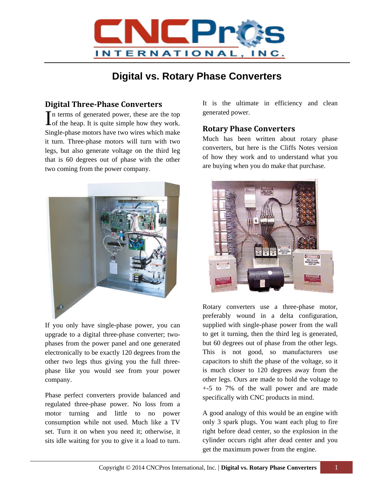

## **Digital vs. Rotary Phase Converters**

## **Digital Three‐Phase Converters**

n terms of generated power, these are the top  $\prod$ <sup>n</sup> terms of generated power, these are the top of the heap. It is quite simple how they work. Single-phase motors have two wires which make it turn. Three-phase motors will turn with two legs, but also generate voltage on the third leg that is 60 degrees out of phase with the other two coming from the power company.



If you only have single-phase power, you can upgrade to a digital three-phase converter; twophases from the power panel and one generated electronically to be exactly 120 degrees from the other two legs thus giving you the full threephase like you would see from your power company.

Phase perfect converters provide balanced and regulated three-phase power. No loss from a motor turning and little to no power consumption while not used. Much like a TV set. Turn it on when you need it; otherwise, it sits idle waiting for you to give it a load to turn.

It is the ultimate in efficiency and clean generated power.

## **Rotary Phase Converters**

Much has been written about rotary phase converters, but here is the Cliffs Notes version of how they work and to understand what you are buying when you do make that purchase.



Rotary converters use a three-phase motor, preferably wound in a delta configuration, supplied with single-phase power from the wall to get it turning, then the third leg is generated, but 60 degrees out of phase from the other legs. This is not good, so manufacturers use capacitors to shift the phase of the voltage, so it is much closer to 120 degrees away from the other legs. Ours are made to hold the voltage to +-5 to 7% of the wall power and are made specifically with CNC products in mind.

A good analogy of this would be an engine with only 3 spark plugs. You want each plug to fire right before dead center, so the explosion in the cylinder occurs right after dead center and you get the maximum power from the engine.